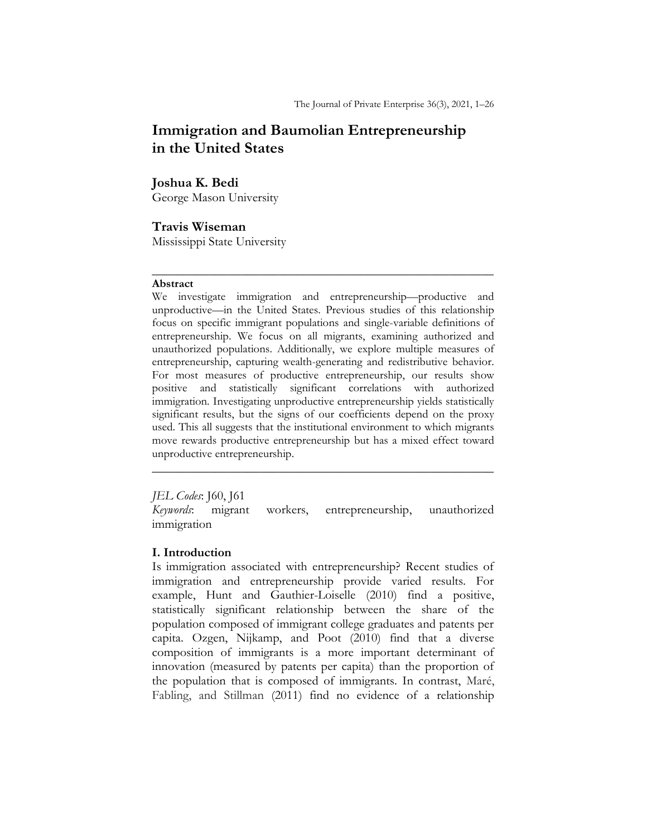# Immigration and Baumolian Entrepreneurship in the United States

# Joshua K. Bedi

George Mason University

# Travis Wiseman

Mississippi State University

#### Abstract

We investigate immigration and entrepreneurship—productive and unproductive—in the United States. Previous studies of this relationship focus on specific immigrant populations and single-variable definitions of entrepreneurship. We focus on all migrants, examining authorized and unauthorized populations. Additionally, we explore multiple measures of entrepreneurship, capturing wealth-generating and redistributive behavior. For most measures of productive entrepreneurship, our results show positive and statistically significant correlations with authorized immigration. Investigating unproductive entrepreneurship yields statistically significant results, but the signs of our coefficients depend on the proxy used. This all suggests that the institutional environment to which migrants move rewards productive entrepreneurship but has a mixed effect toward unproductive entrepreneurship.

 $\frac{1}{2}$  ,  $\frac{1}{2}$  ,  $\frac{1}{2}$  ,  $\frac{1}{2}$  ,  $\frac{1}{2}$  ,  $\frac{1}{2}$  ,  $\frac{1}{2}$  ,  $\frac{1}{2}$  ,  $\frac{1}{2}$  ,  $\frac{1}{2}$  ,  $\frac{1}{2}$  ,  $\frac{1}{2}$  ,  $\frac{1}{2}$  ,  $\frac{1}{2}$  ,  $\frac{1}{2}$  ,  $\frac{1}{2}$  ,  $\frac{1}{2}$  ,  $\frac{1}{2}$  ,  $\frac{1$ 

## JEL Codes: J60, J61

Keywords: migrant workers, entrepreneurship, unauthorized immigration

 $\frac{1}{2}$  ,  $\frac{1}{2}$  ,  $\frac{1}{2}$  ,  $\frac{1}{2}$  ,  $\frac{1}{2}$  ,  $\frac{1}{2}$  ,  $\frac{1}{2}$  ,  $\frac{1}{2}$  ,  $\frac{1}{2}$  ,  $\frac{1}{2}$  ,  $\frac{1}{2}$  ,  $\frac{1}{2}$  ,  $\frac{1}{2}$  ,  $\frac{1}{2}$  ,  $\frac{1}{2}$  ,  $\frac{1}{2}$  ,  $\frac{1}{2}$  ,  $\frac{1}{2}$  ,  $\frac{1$ 

# I. Introduction

Is immigration associated with entrepreneurship? Recent studies of immigration and entrepreneurship provide varied results. For example, Hunt and Gauthier-Loiselle (2010) find a positive, statistically significant relationship between the share of the population composed of immigrant college graduates and patents per capita. Ozgen, Nijkamp, and Poot (2010) find that a diverse composition of immigrants is a more important determinant of innovation (measured by patents per capita) than the proportion of the population that is composed of immigrants. In contrast, Maré, Fabling, and Stillman (2011) find no evidence of a relationship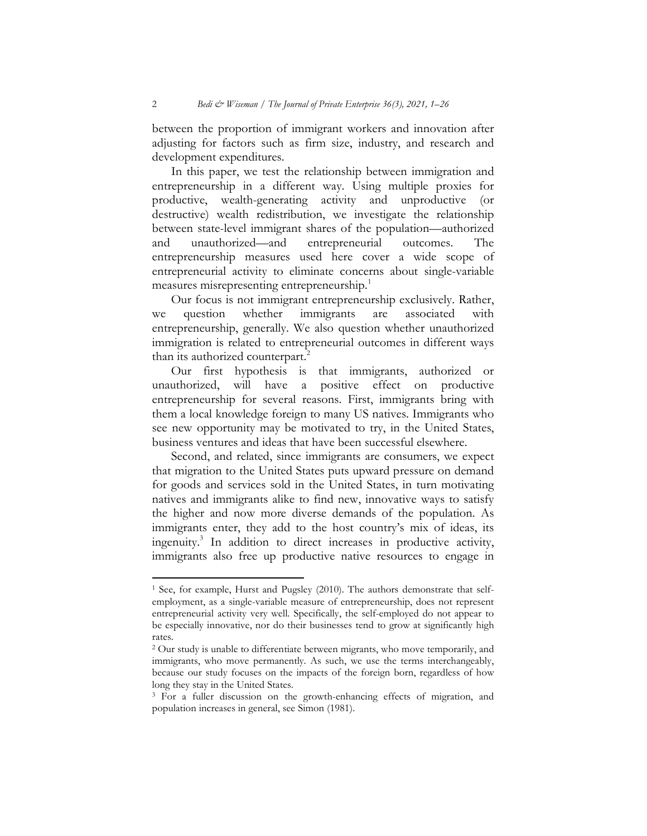between the proportion of immigrant workers and innovation after adjusting for factors such as firm size, industry, and research and development expenditures.

 In this paper, we test the relationship between immigration and entrepreneurship in a different way. Using multiple proxies for productive, wealth-generating activity and unproductive (or destructive) wealth redistribution, we investigate the relationship between state-level immigrant shares of the population—authorized and unauthorized—and entrepreneurial outcomes. The entrepreneurship measures used here cover a wide scope of entrepreneurial activity to eliminate concerns about single-variable measures misrepresenting entrepreneurship.<sup>1</sup>

 Our focus is not immigrant entrepreneurship exclusively. Rather, we question whether immigrants are associated with entrepreneurship, generally. We also question whether unauthorized immigration is related to entrepreneurial outcomes in different ways than its authorized counterpart.<sup>2</sup>

 Our first hypothesis is that immigrants, authorized or unauthorized, will have a positive effect on productive entrepreneurship for several reasons. First, immigrants bring with them a local knowledge foreign to many US natives. Immigrants who see new opportunity may be motivated to try, in the United States, business ventures and ideas that have been successful elsewhere.

 Second, and related, since immigrants are consumers, we expect that migration to the United States puts upward pressure on demand for goods and services sold in the United States, in turn motivating natives and immigrants alike to find new, innovative ways to satisfy the higher and now more diverse demands of the population. As immigrants enter, they add to the host country's mix of ideas, its ingenuity.<sup>3</sup> In addition to direct increases in productive activity, immigrants also free up productive native resources to engage in

 $\overline{a}$ 

<sup>&</sup>lt;sup>1</sup> See, for example, Hurst and Pugsley (2010). The authors demonstrate that selfemployment, as a single-variable measure of entrepreneurship, does not represent entrepreneurial activity very well. Specifically, the self-employed do not appear to be especially innovative, nor do their businesses tend to grow at significantly high rates.

<sup>2</sup> Our study is unable to differentiate between migrants, who move temporarily, and immigrants, who move permanently. As such, we use the terms interchangeably, because our study focuses on the impacts of the foreign born, regardless of how long they stay in the United States.

<sup>&</sup>lt;sup>3</sup> For a fuller discussion on the growth-enhancing effects of migration, and population increases in general, see Simon (1981).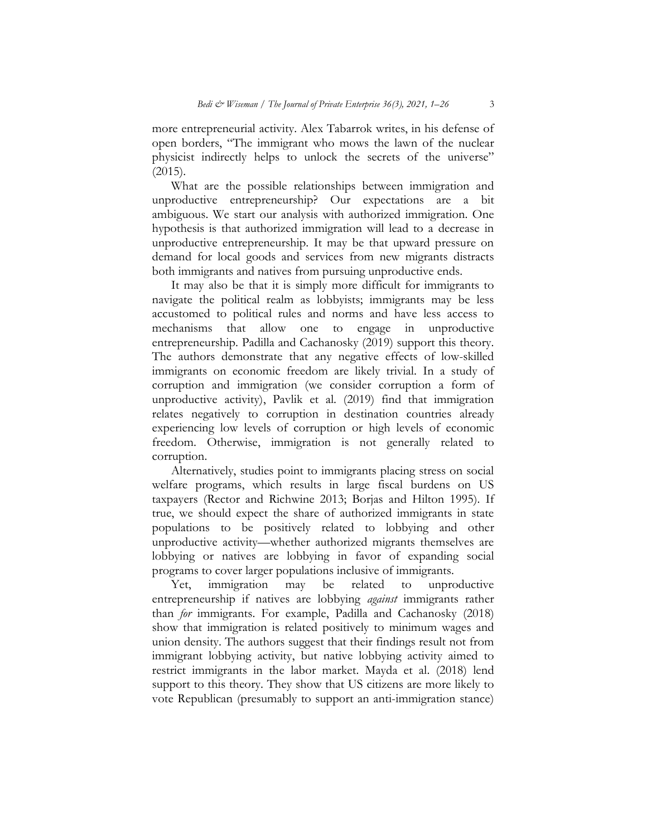more entrepreneurial activity. Alex Tabarrok writes, in his defense of open borders, "The immigrant who mows the lawn of the nuclear physicist indirectly helps to unlock the secrets of the universe"  $(2015).$ 

 What are the possible relationships between immigration and unproductive entrepreneurship? Our expectations are a bit ambiguous. We start our analysis with authorized immigration. One hypothesis is that authorized immigration will lead to a decrease in unproductive entrepreneurship. It may be that upward pressure on demand for local goods and services from new migrants distracts both immigrants and natives from pursuing unproductive ends.

It may also be that it is simply more difficult for immigrants to navigate the political realm as lobbyists; immigrants may be less accustomed to political rules and norms and have less access to mechanisms that allow one to engage in unproductive entrepreneurship. Padilla and Cachanosky (2019) support this theory. The authors demonstrate that any negative effects of low-skilled immigrants on economic freedom are likely trivial. In a study of corruption and immigration (we consider corruption a form of unproductive activity), Pavlik et al. (2019) find that immigration relates negatively to corruption in destination countries already experiencing low levels of corruption or high levels of economic freedom. Otherwise, immigration is not generally related to corruption.

 Alternatively, studies point to immigrants placing stress on social welfare programs, which results in large fiscal burdens on US taxpayers (Rector and Richwine 2013; Borjas and Hilton 1995). If true, we should expect the share of authorized immigrants in state populations to be positively related to lobbying and other unproductive activity—whether authorized migrants themselves are lobbying or natives are lobbying in favor of expanding social programs to cover larger populations inclusive of immigrants.

Yet, immigration may be related to unproductive entrepreneurship if natives are lobbying against immigrants rather than for immigrants. For example, Padilla and Cachanosky (2018) show that immigration is related positively to minimum wages and union density. The authors suggest that their findings result not from immigrant lobbying activity, but native lobbying activity aimed to restrict immigrants in the labor market. Mayda et al. (2018) lend support to this theory. They show that US citizens are more likely to vote Republican (presumably to support an anti-immigration stance)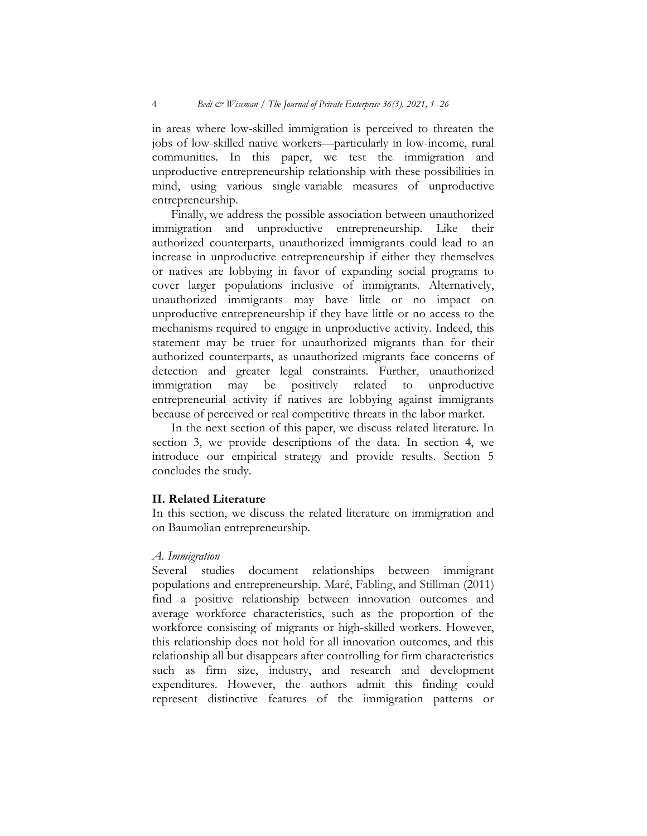in areas where low-skilled immigration is perceived to threaten the jobs of low-skilled native workers—particularly in low-income, rural communities. In this paper, we test the immigration and unproductive entrepreneurship relationship with these possibilities in mind, using various single-variable measures of unproductive entrepreneurship.

 Finally, we address the possible association between unauthorized immigration and unproductive entrepreneurship. Like their authorized counterparts, unauthorized immigrants could lead to an increase in unproductive entrepreneurship if either they themselves or natives are lobbying in favor of expanding social programs to cover larger populations inclusive of immigrants. Alternatively, unauthorized immigrants may have little or no impact on unproductive entrepreneurship if they have little or no access to the mechanisms required to engage in unproductive activity. Indeed, this statement may be truer for unauthorized migrants than for their authorized counterparts, as unauthorized migrants face concerns of detection and greater legal constraints. Further, unauthorized immigration may be positively related to unproductive entrepreneurial activity if natives are lobbying against immigrants because of perceived or real competitive threats in the labor market.

 In the next section of this paper, we discuss related literature. In section 3, we provide descriptions of the data. In section 4, we introduce our empirical strategy and provide results. Section 5 concludes the study.

## II. Related Literature

In this section, we discuss the related literature on immigration and on Baumolian entrepreneurship.

#### A. Immigration

Several studies document relationships between immigrant populations and entrepreneurship. Maré, Fabling, and Stillman (2011) find a positive relationship between innovation outcomes and average workforce characteristics, such as the proportion of the workforce consisting of migrants or high-skilled workers. However, this relationship does not hold for all innovation outcomes, and this relationship all but disappears after controlling for firm characteristics such as firm size, industry, and research and development expenditures. However, the authors admit this finding could represent distinctive features of the immigration patterns or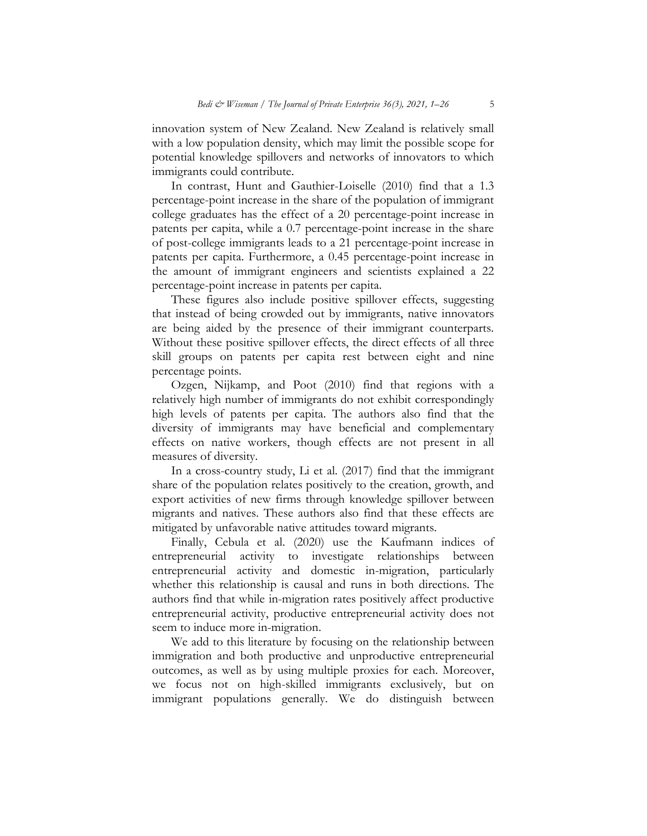innovation system of New Zealand. New Zealand is relatively small with a low population density, which may limit the possible scope for potential knowledge spillovers and networks of innovators to which immigrants could contribute.

 In contrast, Hunt and Gauthier-Loiselle (2010) find that a 1.3 percentage-point increase in the share of the population of immigrant college graduates has the effect of a 20 percentage-point increase in patents per capita, while a 0.7 percentage-point increase in the share of post-college immigrants leads to a 21 percentage-point increase in patents per capita. Furthermore, a 0.45 percentage-point increase in the amount of immigrant engineers and scientists explained a 22 percentage-point increase in patents per capita.

These figures also include positive spillover effects, suggesting that instead of being crowded out by immigrants, native innovators are being aided by the presence of their immigrant counterparts. Without these positive spillover effects, the direct effects of all three skill groups on patents per capita rest between eight and nine percentage points.

 Ozgen, Nijkamp, and Poot (2010) find that regions with a relatively high number of immigrants do not exhibit correspondingly high levels of patents per capita. The authors also find that the diversity of immigrants may have beneficial and complementary effects on native workers, though effects are not present in all measures of diversity.

 In a cross-country study, Li et al. (2017) find that the immigrant share of the population relates positively to the creation, growth, and export activities of new firms through knowledge spillover between migrants and natives. These authors also find that these effects are mitigated by unfavorable native attitudes toward migrants.

 Finally, Cebula et al. (2020) use the Kaufmann indices of entrepreneurial activity to investigate relationships between entrepreneurial activity and domestic in-migration, particularly whether this relationship is causal and runs in both directions. The authors find that while in-migration rates positively affect productive entrepreneurial activity, productive entrepreneurial activity does not seem to induce more in-migration.

 We add to this literature by focusing on the relationship between immigration and both productive and unproductive entrepreneurial outcomes, as well as by using multiple proxies for each. Moreover, we focus not on high-skilled immigrants exclusively, but on immigrant populations generally. We do distinguish between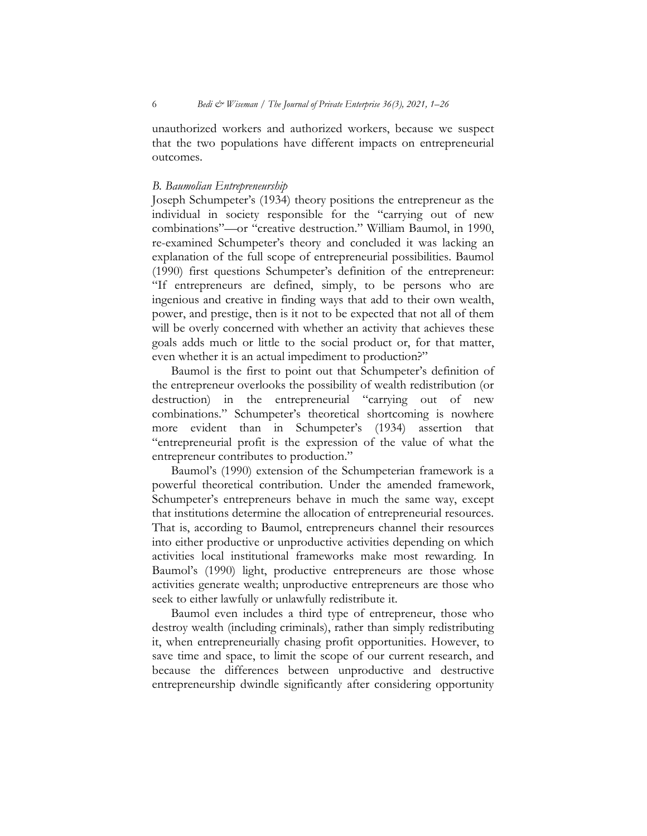unauthorized workers and authorized workers, because we suspect that the two populations have different impacts on entrepreneurial outcomes.

#### B. Baumolian Entrepreneurship

Joseph Schumpeter's (1934) theory positions the entrepreneur as the individual in society responsible for the "carrying out of new combinations"—or "creative destruction." William Baumol, in 1990, re-examined Schumpeter's theory and concluded it was lacking an explanation of the full scope of entrepreneurial possibilities. Baumol (1990) first questions Schumpeter's definition of the entrepreneur: "If entrepreneurs are defined, simply, to be persons who are ingenious and creative in finding ways that add to their own wealth, power, and prestige, then is it not to be expected that not all of them will be overly concerned with whether an activity that achieves these goals adds much or little to the social product or, for that matter, even whether it is an actual impediment to production?"

Baumol is the first to point out that Schumpeter's definition of the entrepreneur overlooks the possibility of wealth redistribution (or destruction) in the entrepreneurial "carrying out of new combinations." Schumpeter's theoretical shortcoming is nowhere more evident than in Schumpeter's (1934) assertion that "entrepreneurial profit is the expression of the value of what the entrepreneur contributes to production."

 Baumol's (1990) extension of the Schumpeterian framework is a powerful theoretical contribution. Under the amended framework, Schumpeter's entrepreneurs behave in much the same way, except that institutions determine the allocation of entrepreneurial resources. That is, according to Baumol, entrepreneurs channel their resources into either productive or unproductive activities depending on which activities local institutional frameworks make most rewarding. In Baumol's (1990) light, productive entrepreneurs are those whose activities generate wealth; unproductive entrepreneurs are those who seek to either lawfully or unlawfully redistribute it.

Baumol even includes a third type of entrepreneur, those who destroy wealth (including criminals), rather than simply redistributing it, when entrepreneurially chasing profit opportunities. However, to save time and space, to limit the scope of our current research, and because the differences between unproductive and destructive entrepreneurship dwindle significantly after considering opportunity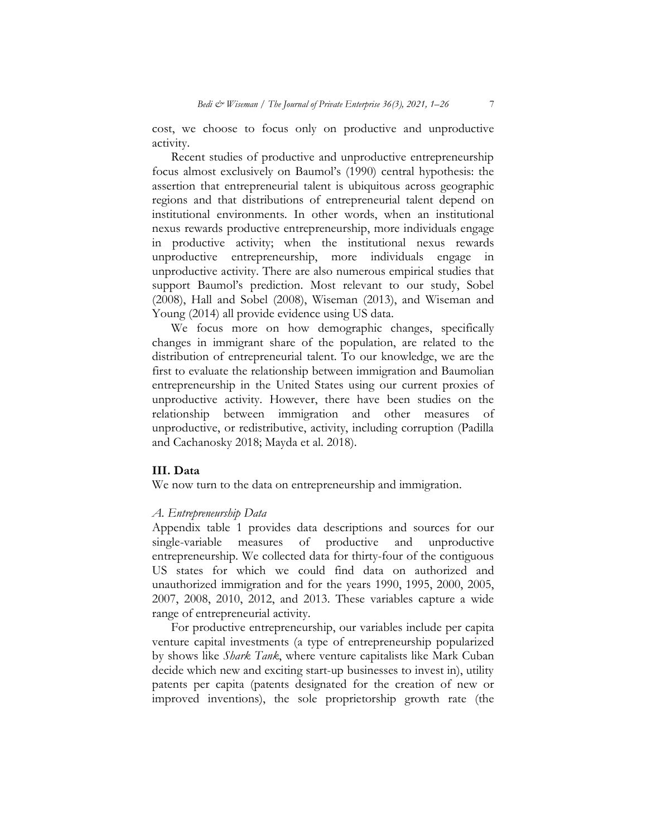cost, we choose to focus only on productive and unproductive activity.

 Recent studies of productive and unproductive entrepreneurship focus almost exclusively on Baumol's (1990) central hypothesis: the assertion that entrepreneurial talent is ubiquitous across geographic regions and that distributions of entrepreneurial talent depend on institutional environments. In other words, when an institutional nexus rewards productive entrepreneurship, more individuals engage in productive activity; when the institutional nexus rewards unproductive entrepreneurship, more individuals engage in unproductive activity. There are also numerous empirical studies that support Baumol's prediction. Most relevant to our study, Sobel (2008), Hall and Sobel (2008), Wiseman (2013), and Wiseman and Young (2014) all provide evidence using US data.

We focus more on how demographic changes, specifically changes in immigrant share of the population, are related to the distribution of entrepreneurial talent. To our knowledge, we are the first to evaluate the relationship between immigration and Baumolian entrepreneurship in the United States using our current proxies of unproductive activity. However, there have been studies on the relationship between immigration and other measures of unproductive, or redistributive, activity, including corruption (Padilla and Cachanosky 2018; Mayda et al. 2018).

## III. Data

We now turn to the data on entrepreneurship and immigration.

#### A. Entrepreneurship Data

Appendix table 1 provides data descriptions and sources for our single-variable measures of productive and unproductive entrepreneurship. We collected data for thirty-four of the contiguous US states for which we could find data on authorized and unauthorized immigration and for the years 1990, 1995, 2000, 2005, 2007, 2008, 2010, 2012, and 2013. These variables capture a wide range of entrepreneurial activity.

For productive entrepreneurship, our variables include per capita venture capital investments (a type of entrepreneurship popularized by shows like Shark Tank, where venture capitalists like Mark Cuban decide which new and exciting start-up businesses to invest in), utility patents per capita (patents designated for the creation of new or improved inventions), the sole proprietorship growth rate (the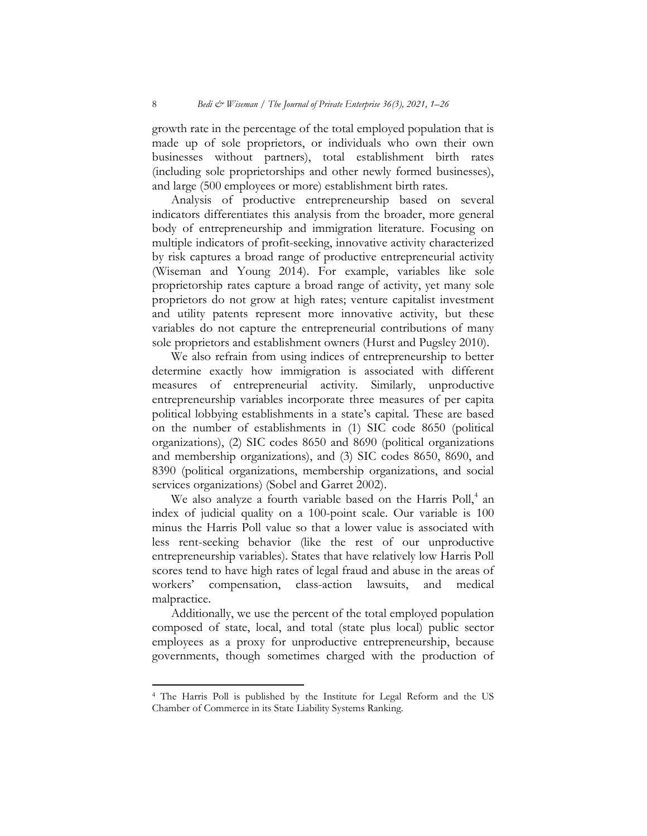growth rate in the percentage of the total employed population that is made up of sole proprietors, or individuals who own their own businesses without partners), total establishment birth rates (including sole proprietorships and other newly formed businesses), and large (500 employees or more) establishment birth rates.

Analysis of productive entrepreneurship based on several indicators differentiates this analysis from the broader, more general body of entrepreneurship and immigration literature. Focusing on multiple indicators of profit-seeking, innovative activity characterized by risk captures a broad range of productive entrepreneurial activity (Wiseman and Young 2014). For example, variables like sole proprietorship rates capture a broad range of activity, yet many sole proprietors do not grow at high rates; venture capitalist investment and utility patents represent more innovative activity, but these variables do not capture the entrepreneurial contributions of many sole proprietors and establishment owners (Hurst and Pugsley 2010).

We also refrain from using indices of entrepreneurship to better determine exactly how immigration is associated with different measures of entrepreneurial activity. Similarly, unproductive entrepreneurship variables incorporate three measures of per capita political lobbying establishments in a state's capital. These are based on the number of establishments in (1) SIC code 8650 (political organizations), (2) SIC codes 8650 and 8690 (political organizations and membership organizations), and (3) SIC codes 8650, 8690, and 8390 (political organizations, membership organizations, and social services organizations) (Sobel and Garret 2002).

We also analyze a fourth variable based on the Harris Poll,<sup>4</sup> an index of judicial quality on a 100-point scale. Our variable is 100 minus the Harris Poll value so that a lower value is associated with less rent-seeking behavior (like the rest of our unproductive entrepreneurship variables). States that have relatively low Harris Poll scores tend to have high rates of legal fraud and abuse in the areas of workers' compensation, class-action lawsuits, and medical malpractice.

 Additionally, we use the percent of the total employed population composed of state, local, and total (state plus local) public sector employees as a proxy for unproductive entrepreneurship, because governments, though sometimes charged with the production of

 $\overline{a}$ 

<sup>4</sup> The Harris Poll is published by the Institute for Legal Reform and the US Chamber of Commerce in its State Liability Systems Ranking.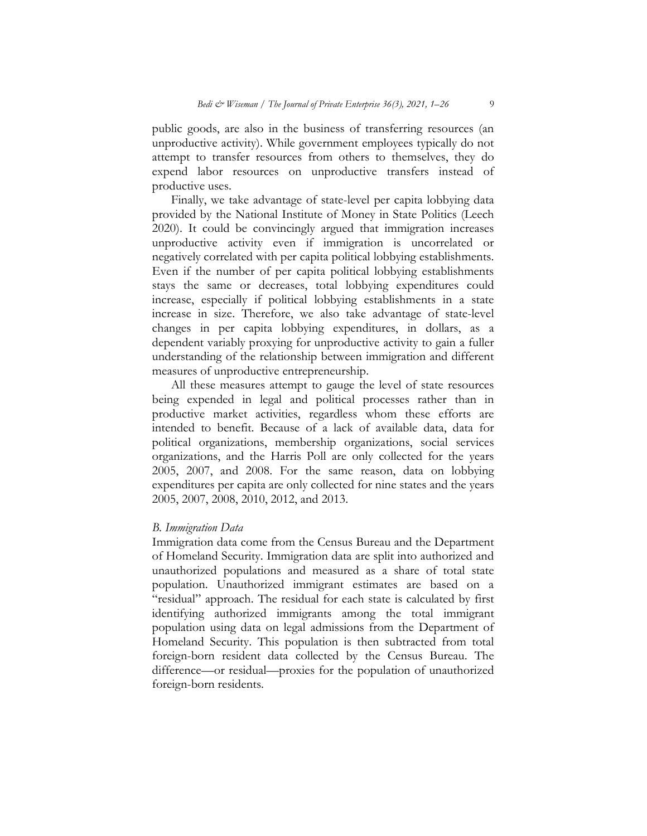public goods, are also in the business of transferring resources (an unproductive activity). While government employees typically do not attempt to transfer resources from others to themselves, they do expend labor resources on unproductive transfers instead of productive uses.

 Finally, we take advantage of state-level per capita lobbying data provided by the National Institute of Money in State Politics (Leech 2020). It could be convincingly argued that immigration increases unproductive activity even if immigration is uncorrelated or negatively correlated with per capita political lobbying establishments. Even if the number of per capita political lobbying establishments stays the same or decreases, total lobbying expenditures could increase, especially if political lobbying establishments in a state increase in size. Therefore, we also take advantage of state-level changes in per capita lobbying expenditures, in dollars, as a dependent variably proxying for unproductive activity to gain a fuller understanding of the relationship between immigration and different measures of unproductive entrepreneurship.

All these measures attempt to gauge the level of state resources being expended in legal and political processes rather than in productive market activities, regardless whom these efforts are intended to benefit. Because of a lack of available data, data for political organizations, membership organizations, social services organizations, and the Harris Poll are only collected for the years 2005, 2007, and 2008. For the same reason, data on lobbying expenditures per capita are only collected for nine states and the years 2005, 2007, 2008, 2010, 2012, and 2013.

#### B. Immigration Data

Immigration data come from the Census Bureau and the Department of Homeland Security. Immigration data are split into authorized and unauthorized populations and measured as a share of total state population. Unauthorized immigrant estimates are based on a "residual" approach. The residual for each state is calculated by first identifying authorized immigrants among the total immigrant population using data on legal admissions from the Department of Homeland Security. This population is then subtracted from total foreign-born resident data collected by the Census Bureau. The difference—or residual—proxies for the population of unauthorized foreign-born residents.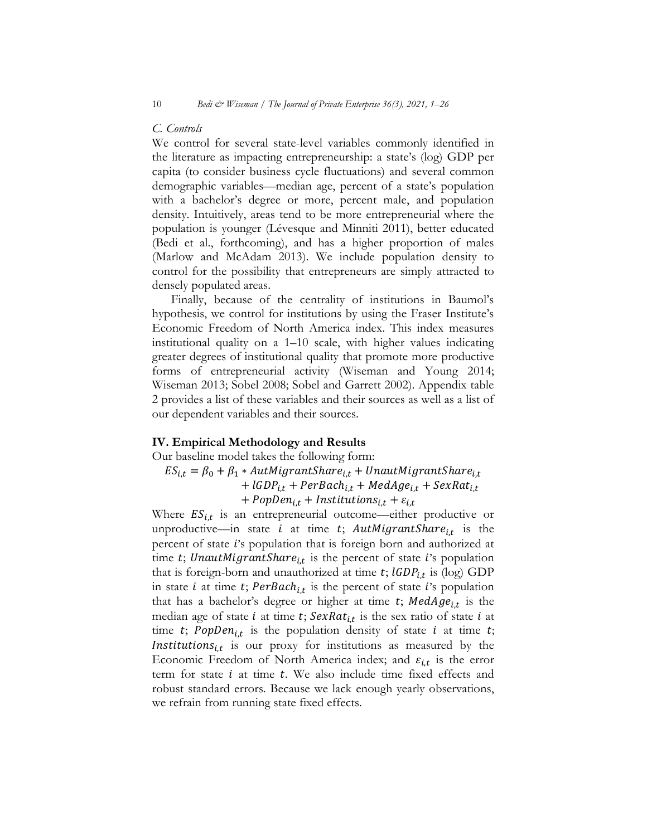# C. Controls

We control for several state-level variables commonly identified in the literature as impacting entrepreneurship: a state's (log) GDP per capita (to consider business cycle fluctuations) and several common demographic variables—median age, percent of a state's population with a bachelor's degree or more, percent male, and population density. Intuitively, areas tend to be more entrepreneurial where the population is younger (Lévesque and Minniti 2011), better educated (Bedi et al., forthcoming), and has a higher proportion of males (Marlow and McAdam 2013). We include population density to control for the possibility that entrepreneurs are simply attracted to densely populated areas.

Finally, because of the centrality of institutions in Baumol's hypothesis, we control for institutions by using the Fraser Institute's Economic Freedom of North America index. This index measures institutional quality on a 1–10 scale, with higher values indicating greater degrees of institutional quality that promote more productive forms of entrepreneurial activity (Wiseman and Young 2014; Wiseman 2013; Sobel 2008; Sobel and Garrett 2002). Appendix table 2 provides a list of these variables and their sources as well as a list of our dependent variables and their sources.

## IV. Empirical Methodology and Results

Our baseline model takes the following form:

 $ES_{i,t} = \beta_0 + \beta_1 * \text{AutMigrantShare}_{i,t} + \text{UnauthigramtShare}_{i,t}$ 

+  $lGDP_{i,t}$  +  $PerBach_{i,t}$  +  $MedAge_{i,t}$  +  $SexRat_{i,t}$ 

+  $PopDen_{i,t}$  +  $Institutions_{i,t}$  +  $\varepsilon_{i,t}$ 

Where  $ES_{i,t}$  is an entrepreneurial outcome—either productive or unproductive—in state *i* at time *t*;  $AutMigrantshare<sub>i,t</sub>$  is the percent of state *i*'s population that is foreign born and authorized at time t; UnautMigrantShare $i_{i,t}$  is the percent of state i's population that is foreign-born and unauthorized at time  $t$ ;  $IGDP_{i,t}$  is (log)  $GDP$ in state *i* at time *t*;  $PerBack<sub>i,t</sub>$  is the percent of state *i*'s population that has a bachelor's degree or higher at time  $t$ ;  $MedAge_{i,t}$  is the median age of state *i* at time *t*;  $SexRat_{i,t}$  is the sex ratio of state *i* at time t; PopDen<sub>i,t</sub> is the population density of state i at time t; Institutions $s_{i,t}$  is our proxy for institutions as measured by the Economic Freedom of North America index; and  $\varepsilon_{i,t}$  is the error term for state  $i$  at time  $t$ . We also include time fixed effects and robust standard errors. Because we lack enough yearly observations, we refrain from running state fixed effects.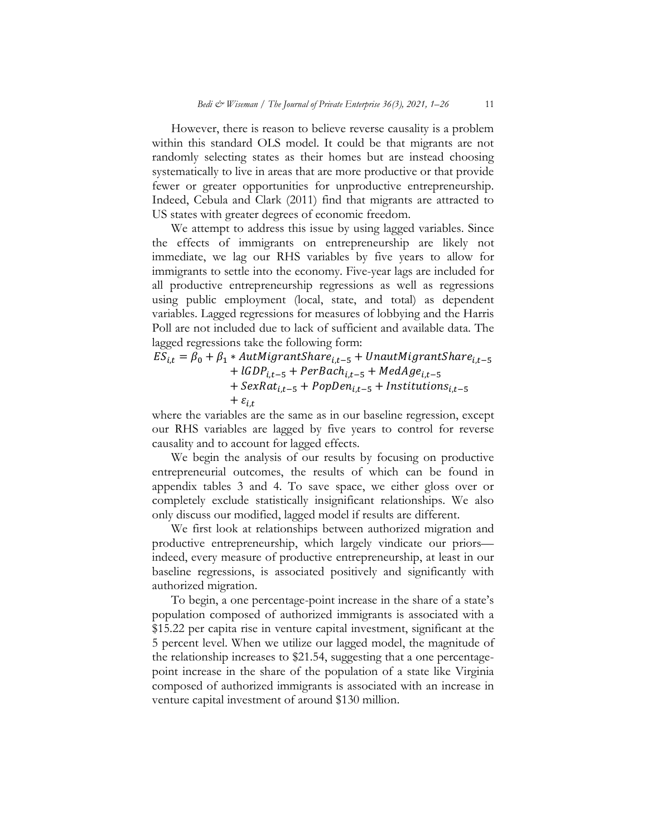However, there is reason to believe reverse causality is a problem within this standard OLS model. It could be that migrants are not randomly selecting states as their homes but are instead choosing systematically to live in areas that are more productive or that provide fewer or greater opportunities for unproductive entrepreneurship. Indeed, Cebula and Clark (2011) find that migrants are attracted to US states with greater degrees of economic freedom.

We attempt to address this issue by using lagged variables. Since the effects of immigrants on entrepreneurship are likely not immediate, we lag our RHS variables by five years to allow for immigrants to settle into the economy. Five-year lags are included for all productive entrepreneurship regressions as well as regressions using public employment (local, state, and total) as dependent variables. Lagged regressions for measures of lobbying and the Harris Poll are not included due to lack of sufficient and available data. The lagged regressions take the following form:

 $ES_{i,t} = \beta_0 + \beta_1 * \text{AutMigrantShare}_{i,t-5} + \text{UnauthigramtShare}_{i,t-5}$ +  $lGDP_{i,t-5}$  +  $PerBach_{i,t-5}$  +  $MedAge_{i,t-5}$ +  $SexRat_{i,t-5}$  +  $PopDen_{i,t-5}$  +  $InstitutionS_{i,t-5}$  $+$   $\varepsilon$ <sub>it</sub>

where the variables are the same as in our baseline regression, except our RHS variables are lagged by five years to control for reverse causality and to account for lagged effects.

We begin the analysis of our results by focusing on productive entrepreneurial outcomes, the results of which can be found in appendix tables 3 and 4. To save space, we either gloss over or completely exclude statistically insignificant relationships. We also only discuss our modified, lagged model if results are different.

 We first look at relationships between authorized migration and productive entrepreneurship, which largely vindicate our priors indeed, every measure of productive entrepreneurship, at least in our baseline regressions, is associated positively and significantly with authorized migration.

 To begin, a one percentage-point increase in the share of a state's population composed of authorized immigrants is associated with a \$15.22 per capita rise in venture capital investment, significant at the 5 percent level. When we utilize our lagged model, the magnitude of the relationship increases to \$21.54, suggesting that a one percentagepoint increase in the share of the population of a state like Virginia composed of authorized immigrants is associated with an increase in venture capital investment of around \$130 million.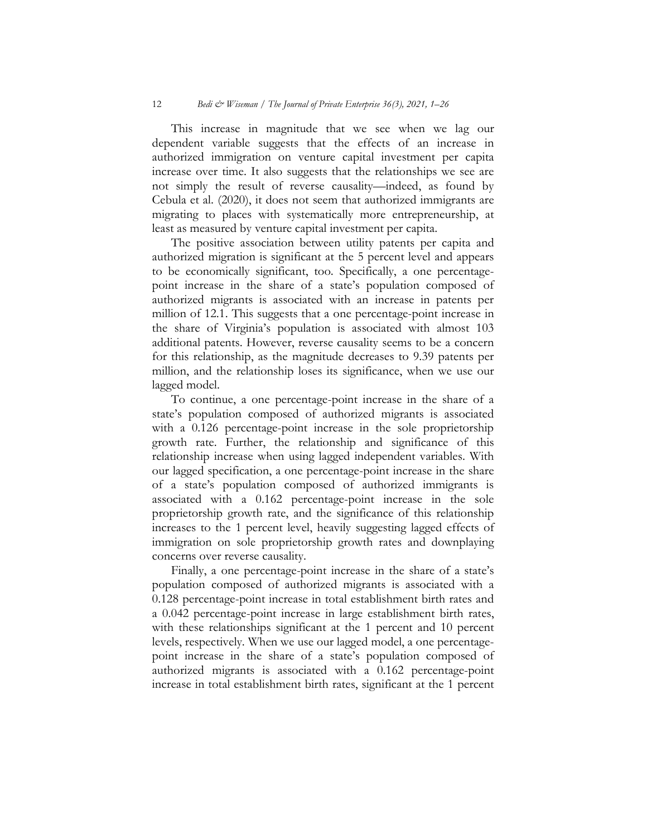This increase in magnitude that we see when we lag our dependent variable suggests that the effects of an increase in authorized immigration on venture capital investment per capita increase over time. It also suggests that the relationships we see are not simply the result of reverse causality—indeed, as found by Cebula et al. (2020), it does not seem that authorized immigrants are migrating to places with systematically more entrepreneurship, at least as measured by venture capital investment per capita.

 The positive association between utility patents per capita and authorized migration is significant at the 5 percent level and appears to be economically significant, too. Specifically, a one percentagepoint increase in the share of a state's population composed of authorized migrants is associated with an increase in patents per million of 12.1. This suggests that a one percentage-point increase in the share of Virginia's population is associated with almost 103 additional patents. However, reverse causality seems to be a concern for this relationship, as the magnitude decreases to 9.39 patents per million, and the relationship loses its significance, when we use our lagged model.

 To continue, a one percentage-point increase in the share of a state's population composed of authorized migrants is associated with a 0.126 percentage-point increase in the sole proprietorship growth rate. Further, the relationship and significance of this relationship increase when using lagged independent variables. With our lagged specification, a one percentage-point increase in the share of a state's population composed of authorized immigrants is associated with a 0.162 percentage-point increase in the sole proprietorship growth rate, and the significance of this relationship increases to the 1 percent level, heavily suggesting lagged effects of immigration on sole proprietorship growth rates and downplaying concerns over reverse causality.

 Finally, a one percentage-point increase in the share of a state's population composed of authorized migrants is associated with a 0.128 percentage-point increase in total establishment birth rates and a 0.042 percentage-point increase in large establishment birth rates, with these relationships significant at the 1 percent and 10 percent levels, respectively. When we use our lagged model, a one percentagepoint increase in the share of a state's population composed of authorized migrants is associated with a 0.162 percentage-point increase in total establishment birth rates, significant at the 1 percent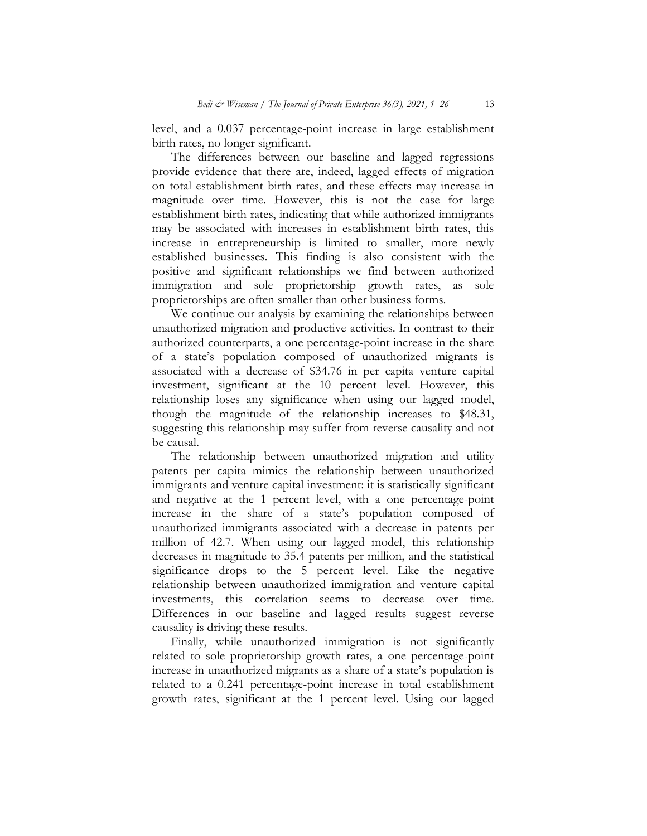level, and a 0.037 percentage-point increase in large establishment birth rates, no longer significant.

The differences between our baseline and lagged regressions provide evidence that there are, indeed, lagged effects of migration on total establishment birth rates, and these effects may increase in magnitude over time. However, this is not the case for large establishment birth rates, indicating that while authorized immigrants may be associated with increases in establishment birth rates, this increase in entrepreneurship is limited to smaller, more newly established businesses. This finding is also consistent with the positive and significant relationships we find between authorized immigration and sole proprietorship growth rates, as sole proprietorships are often smaller than other business forms.

 We continue our analysis by examining the relationships between unauthorized migration and productive activities. In contrast to their authorized counterparts, a one percentage-point increase in the share of a state's population composed of unauthorized migrants is associated with a decrease of \$34.76 in per capita venture capital investment, significant at the 10 percent level. However, this relationship loses any significance when using our lagged model, though the magnitude of the relationship increases to \$48.31, suggesting this relationship may suffer from reverse causality and not be causal.

 The relationship between unauthorized migration and utility patents per capita mimics the relationship between unauthorized immigrants and venture capital investment: it is statistically significant and negative at the 1 percent level, with a one percentage-point increase in the share of a state's population composed of unauthorized immigrants associated with a decrease in patents per million of 42.7. When using our lagged model, this relationship decreases in magnitude to 35.4 patents per million, and the statistical significance drops to the  $5$  percent level. Like the negative relationship between unauthorized immigration and venture capital investments, this correlation seems to decrease over time. Differences in our baseline and lagged results suggest reverse causality is driving these results.

Finally, while unauthorized immigration is not significantly related to sole proprietorship growth rates, a one percentage-point increase in unauthorized migrants as a share of a state's population is related to a 0.241 percentage-point increase in total establishment growth rates, significant at the 1 percent level. Using our lagged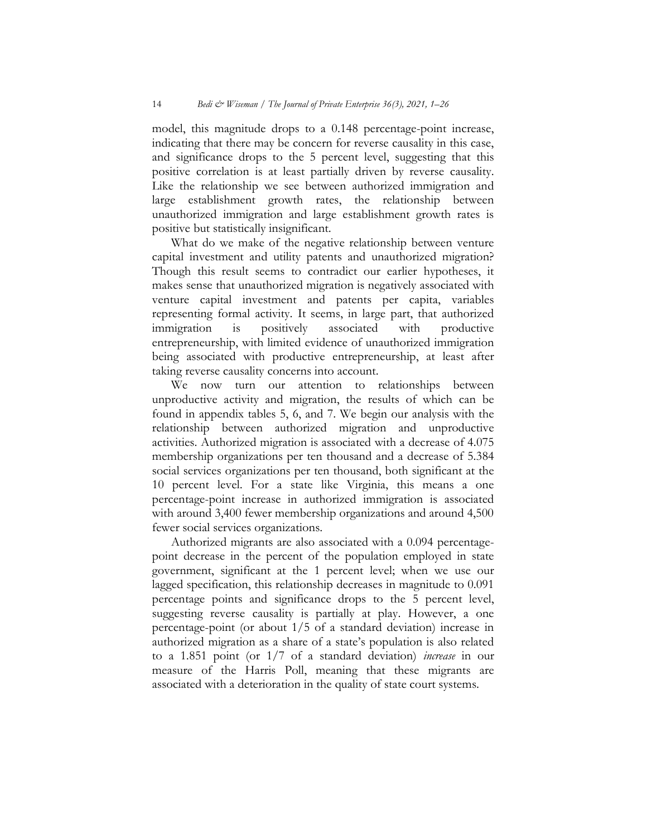model, this magnitude drops to a 0.148 percentage-point increase, indicating that there may be concern for reverse causality in this case, and significance drops to the 5 percent level, suggesting that this positive correlation is at least partially driven by reverse causality. Like the relationship we see between authorized immigration and large establishment growth rates, the relationship between unauthorized immigration and large establishment growth rates is positive but statistically insignificant.

 What do we make of the negative relationship between venture capital investment and utility patents and unauthorized migration? Though this result seems to contradict our earlier hypotheses, it makes sense that unauthorized migration is negatively associated with venture capital investment and patents per capita, variables representing formal activity. It seems, in large part, that authorized<br>immigration is positively associated with productive is positively associated with entrepreneurship, with limited evidence of unauthorized immigration being associated with productive entrepreneurship, at least after taking reverse causality concerns into account.

 We now turn our attention to relationships between unproductive activity and migration, the results of which can be found in appendix tables 5, 6, and 7. We begin our analysis with the relationship between authorized migration and unproductive activities. Authorized migration is associated with a decrease of 4.075 membership organizations per ten thousand and a decrease of 5.384 social services organizations per ten thousand, both significant at the 10 percent level. For a state like Virginia, this means a one percentage-point increase in authorized immigration is associated with around 3,400 fewer membership organizations and around 4,500 fewer social services organizations.

 Authorized migrants are also associated with a 0.094 percentagepoint decrease in the percent of the population employed in state government, significant at the 1 percent level; when we use our lagged specification, this relationship decreases in magnitude to 0.091 percentage points and significance drops to the 5 percent level, suggesting reverse causality is partially at play. However, a one percentage-point (or about 1/5 of a standard deviation) increase in authorized migration as a share of a state's population is also related to a 1.851 point (or 1/7 of a standard deviation) increase in our measure of the Harris Poll, meaning that these migrants are associated with a deterioration in the quality of state court systems.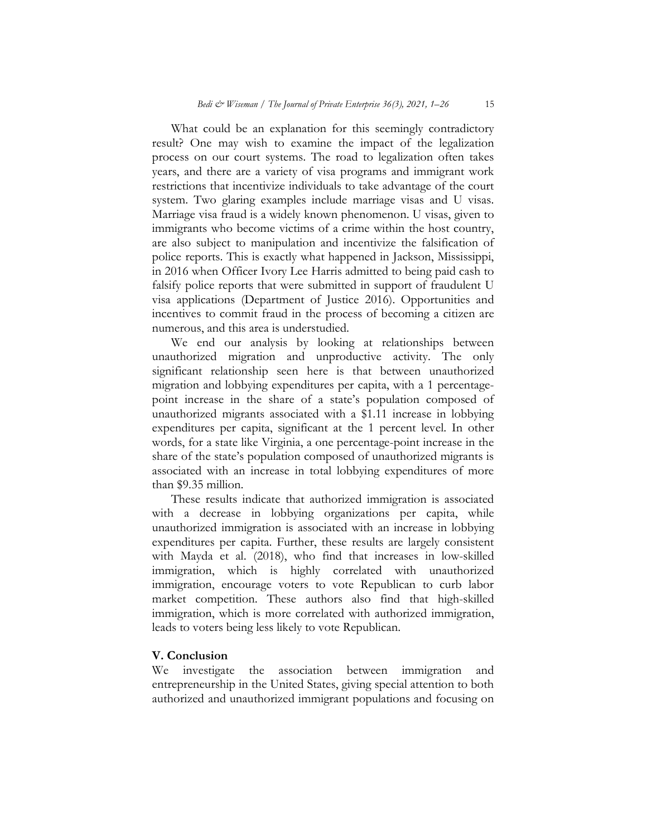What could be an explanation for this seemingly contradictory result? One may wish to examine the impact of the legalization process on our court systems. The road to legalization often takes years, and there are a variety of visa programs and immigrant work restrictions that incentivize individuals to take advantage of the court system. Two glaring examples include marriage visas and U visas. Marriage visa fraud is a widely known phenomenon. U visas, given to immigrants who become victims of a crime within the host country, are also subject to manipulation and incentivize the falsification of police reports. This is exactly what happened in Jackson, Mississippi, in 2016 when Officer Ivory Lee Harris admitted to being paid cash to falsify police reports that were submitted in support of fraudulent U visa applications (Department of Justice 2016). Opportunities and incentives to commit fraud in the process of becoming a citizen are numerous, and this area is understudied.

 We end our analysis by looking at relationships between unauthorized migration and unproductive activity. The only significant relationship seen here is that between unauthorized migration and lobbying expenditures per capita, with a 1 percentagepoint increase in the share of a state's population composed of unauthorized migrants associated with a \$1.11 increase in lobbying expenditures per capita, significant at the 1 percent level. In other words, for a state like Virginia, a one percentage-point increase in the share of the state's population composed of unauthorized migrants is associated with an increase in total lobbying expenditures of more than \$9.35 million.

These results indicate that authorized immigration is associated with a decrease in lobbying organizations per capita, while unauthorized immigration is associated with an increase in lobbying expenditures per capita. Further, these results are largely consistent with Mayda et al. (2018), who find that increases in low-skilled immigration, which is highly correlated with unauthorized immigration, when the research of the Republican to curb labor market competition. These authors also find that high-skilled immigration, which is more correlated with authorized immigration, leads to voters being less likely to vote Republican.

## V. Conclusion

We investigate the association between immigration and entrepreneurship in the United States, giving special attention to both authorized and unauthorized immigrant populations and focusing on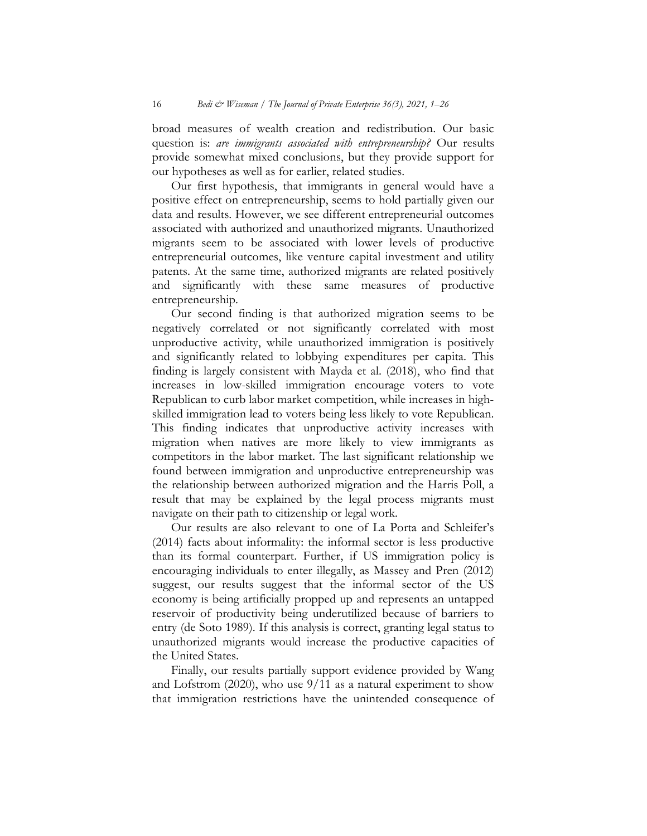broad measures of wealth creation and redistribution. Our basic question is: are immigrants associated with entrepreneurship? Our results provide somewhat mixed conclusions, but they provide support for our hypotheses as well as for earlier, related studies.

 Our first hypothesis, that immigrants in general would have a positive effect on entrepreneurship, seems to hold partially given our data and results. However, we see different entrepreneurial outcomes associated with authorized and unauthorized migrants. Unauthorized migrants seem to be associated with lower levels of productive entrepreneurial outcomes, like venture capital investment and utility patents. At the same time, authorized migrants are related positively<br>and significantly with these same measures of productive same measures of productive entrepreneurship.

 Our second finding is that authorized migration seems to be negatively correlated or not significantly correlated with most unproductive activity, while unauthorized immigration is positively and significantly related to lobbying expenditures per capita. This finding is largely consistent with Mayda et al. (2018), who find that increases in low-skilled immigration encourage voters to vote Republican to curb labor market competition, while increases in highskilled immigration lead to voters being less likely to vote Republican. This finding indicates that unproductive activity increases with migration when natives are more likely to view immigrants as competitors in the labor market. The last significant relationship we found between immigration and unproductive entrepreneurship was the relationship between authorized migration and the Harris Poll, a result that may be explained by the legal process migrants must navigate on their path to citizenship or legal work.

 Our results are also relevant to one of La Porta and Schleifer's (2014) facts about informality: the informal sector is less productive than its formal counterpart. Further, if US immigration policy is encouraging individuals to enter illegally, as Massey and Pren (2012) suggest, our results suggest that the informal sector of the US economy is being artificially propped up and represents an untapped reservoir of productivity being underutilized because of barriers to entry (de Soto 1989). If this analysis is correct, granting legal status to unauthorized migrants would increase the productive capacities of the United States.

 Finally, our results partially support evidence provided by Wang and Lofstrom (2020), who use  $9/11$  as a natural experiment to show that immigration restrictions have the unintended consequence of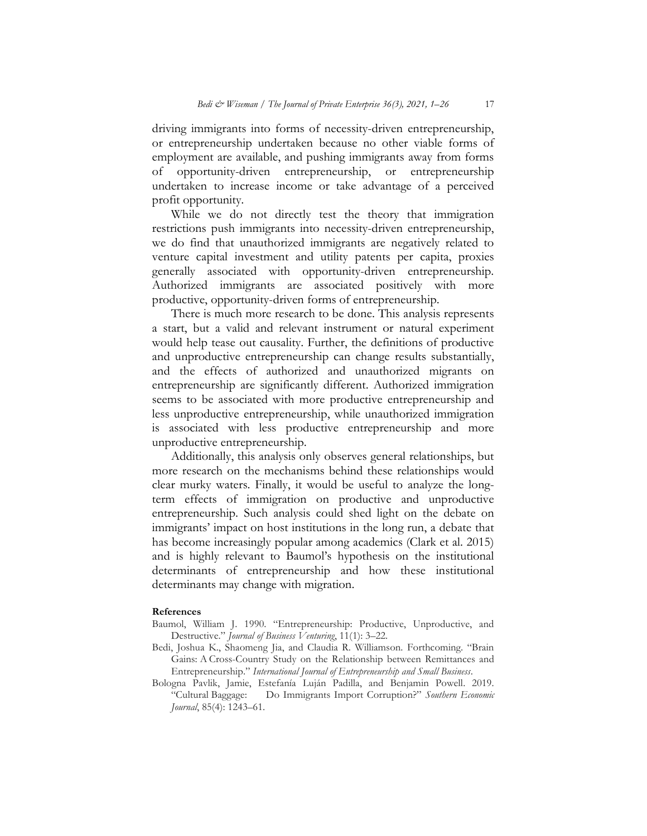driving immigrants into forms of necessity-driven entrepreneurship, or entrepreneurship undertaken because no other viable forms of employment are available, and pushing immigrants away from forms of opportunity-driven entrepreneurship, or entrepreneurship undertaken to increase income or take advantage of a perceived profit opportunity.

While we do not directly test the theory that immigration restrictions push immigrants into necessity-driven entrepreneurship, we do find that unauthorized immigrants are negatively related to venture capital investment and utility patents per capita, proxies generally associated with opportunity-driven entrepreneurship. Authorized immigrants are associated positively with more productive, opportunity-driven forms of entrepreneurship.

 There is much more research to be done. This analysis represents a start, but a valid and relevant instrument or natural experiment would help tease out causality. Further, the definitions of productive and unproductive entrepreneurship can change results substantially, and the effects of authorized and unauthorized migrants on entrepreneurship are significantly different. Authorized immigration seems to be associated with more productive entrepreneurship and less unproductive entrepreneurship, while unauthorized immigration is associated with less productive entrepreneurship and more unproductive entrepreneurship.

Additionally, this analysis only observes general relationships, but more research on the mechanisms behind these relationships would clear murky waters. Finally, it would be useful to analyze the longterm effects of immigration on productive and unproductive entrepreneurship. Such analysis could shed light on the debate on immigrants' impact on host institutions in the long run, a debate that has become increasingly popular among academics (Clark et al. 2015) and is highly relevant to Baumol's hypothesis on the institutional determinants of entrepreneurship and how these institutional determinants may change with migration.

#### References

- Baumol, William J. 1990. "Entrepreneurship: Productive, Unproductive, and Destructive." Journal of Business Venturing, 11(1): 3-22.
- Bedi, Joshua K., Shaomeng Jia, and Claudia R. Williamson. Forthcoming. "Brain Gains: A Cross-Country Study on the Relationship between Remittances and Entrepreneurship." International Journal of Entrepreneurship and Small Business.
- Bologna Pavlik, Jamie, Estefanía Luján Padilla, and Benjamin Powell. 2019. "Cultural Baggage: Do Immigrants Import Corruption?" Southern Economic Journal, 85(4): 1243–61.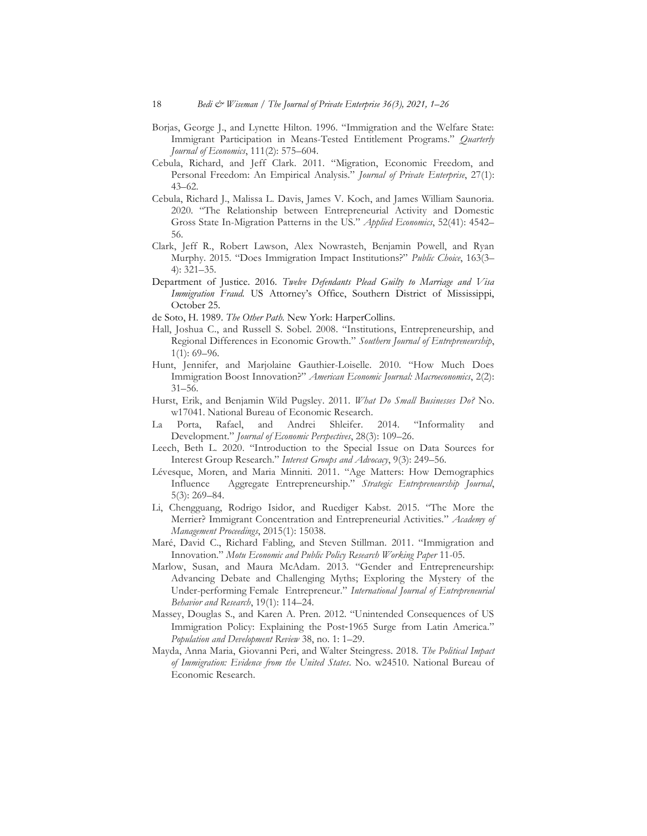- Borjas, George J., and Lynette Hilton. 1996. "Immigration and the Welfare State: Immigrant Participation in Means-Tested Entitlement Programs." Quarterly Journal of Economics, 111(2): 575–604.
- Cebula, Richard, and Jeff Clark. 2011. "Migration, Economic Freedom, and Personal Freedom: An Empirical Analysis." Journal of Private Enterprise, 27(1): 43–62.
- Cebula, Richard J., Malissa L. Davis, James V. Koch, and James William Saunoria. 2020. "The Relationship between Entrepreneurial Activity and Domestic Gross State In-Migration Patterns in the US." Applied Economics, 52(41): 4542– 56.
- Clark, Jeff R., Robert Lawson, Alex Nowrasteh, Benjamin Powell, and Ryan Murphy. 2015. "Does Immigration Impact Institutions?" Public Choice, 163(3-4): 321–35.
- Department of Justice. 2016. Twelve Defendants Plead Guilty to Marriage and Visa Immigration Fraud. US Attorney's Office, Southern District of Mississippi, October 25.
- de Soto, H. 1989. The Other Path. New York: HarperCollins.
- Hall, Joshua C., and Russell S. Sobel. 2008. "Institutions, Entrepreneurship, and Regional Differences in Economic Growth." Southern Journal of Entrepreneurship,  $1(1): 69 - 96.$
- Hunt, Jennifer, and Marjolaine Gauthier-Loiselle. 2010. "How Much Does Immigration Boost Innovation?" American Economic Journal: Macroeconomics, 2(2): 31–56.
- Hurst, Erik, and Benjamin Wild Pugsley. 2011. What Do Small Businesses Do? No. w17041. National Bureau of Economic Research.
- La Porta, Rafael, and Andrei Shleifer. 2014. "Informality and Development." Journal of Economic Perspectives, 28(3): 109-26.
- Leech, Beth L. 2020. "Introduction to the Special Issue on Data Sources for Interest Group Research." Interest Groups and Advocacy, 9(3): 249–56.
- Lévesque, Moren, and Maria Minniti. 2011. "Age Matters: How Demographics Influence Aggregate Entrepreneurship." Strategic Entrepreneurship Journal, 5(3): 269–84.
- Li, Chengguang, Rodrigo Isidor, and Ruediger Kabst. 2015. "The More the Merrier? Immigrant Concentration and Entrepreneurial Activities." Academy of Management Proceedings, 2015(1): 15038.
- Maré, David C., Richard Fabling, and Steven Stillman. 2011. "Immigration and Innovation." Motu Economic and Public Policy Research Working Paper 11-05.
- Marlow, Susan, and Maura McAdam. 2013. "Gender and Entrepreneurship: Advancing Debate and Challenging Myths; Exploring the Mystery of the Under-performing Female Entrepreneur." International Journal of Entrepreneurial Behavior and Research, 19(1): 114–24.
- Massey, Douglas S., and Karen A. Pren. 2012. "Unintended Consequences of US Immigration Policy: Explaining the Post-1965 Surge from Latin America." Population and Development Review 38, no. 1: 1–29.
- Mayda, Anna Maria, Giovanni Peri, and Walter Steingress. 2018. The Political Impact of Immigration: Evidence from the United States. No. w24510. National Bureau of Economic Research.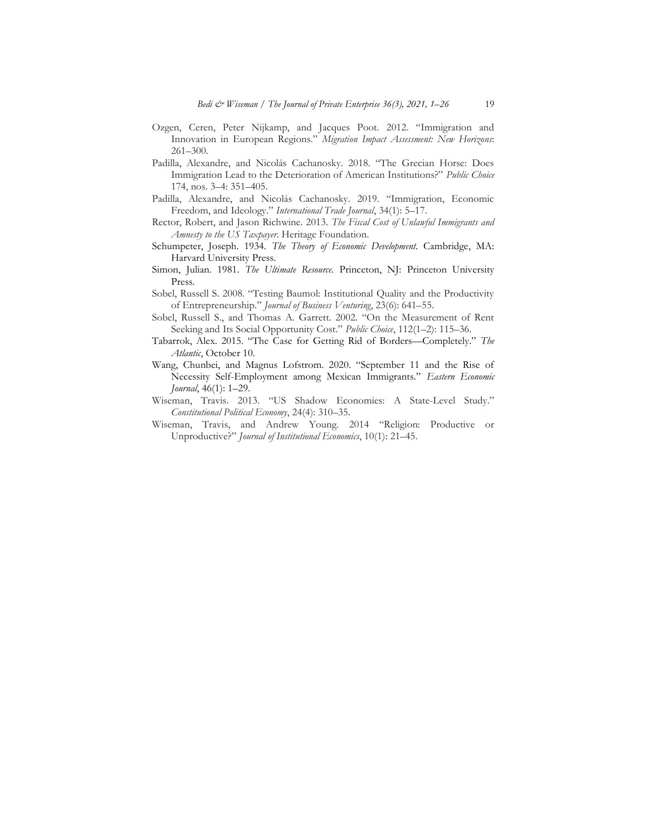- Ozgen, Ceren, Peter Nijkamp, and Jacques Poot. 2012. "Immigration and Innovation in European Regions." Migration Impact Assessment: New Horizons: 261–300.
- Padilla, Alexandre, and Nicolás Cachanosky. 2018. "The Grecian Horse: Does Immigration Lead to the Deterioration of American Institutions?" Public Choice 174, nos. 3–4: 351–405.
- Padilla, Alexandre, and Nicolás Cachanosky. 2019. "Immigration, Economic Freedom, and Ideology." International Trade Journal, 34(1): 5–17.
- Rector, Robert, and Jason Richwine. 2013. The Fiscal Cost of Unlawful Immigrants and Amnesty to the US Taxpayer. Heritage Foundation.
- Schumpeter, Joseph. 1934. The Theory of Economic Development. Cambridge, MA: Harvard University Press.
- Simon, Julian. 1981. The Ultimate Resource. Princeton, NJ: Princeton University Press.
- Sobel, Russell S. 2008. "Testing Baumol: Institutional Quality and the Productivity of Entrepreneurship." Journal of Business Venturing, 23(6): 641–55.
- Sobel, Russell S., and Thomas A. Garrett. 2002. "On the Measurement of Rent Seeking and Its Social Opportunity Cost." Public Choice, 112(1-2): 115-36.
- Tabarrok, Alex. 2015. "The Case for Getting Rid of Borders—Completely." The Atlantic, October 10.
- Wang, Chunbei, and Magnus Lofstrom. 2020. "September 11 and the Rise of Necessity Self-Employment among Mexican Immigrants." Eastern Economic Journal, 46(1): 1–29.
- Wiseman, Travis. 2013. "US Shadow Economies: A State-Level Study." Constitutional Political Economy, 24(4): 310–35.
- Wiseman, Travis, and Andrew Young. 2014 "Religion: Productive or Unproductive?" Journal of Institutional Economics, 10(1): 21–45.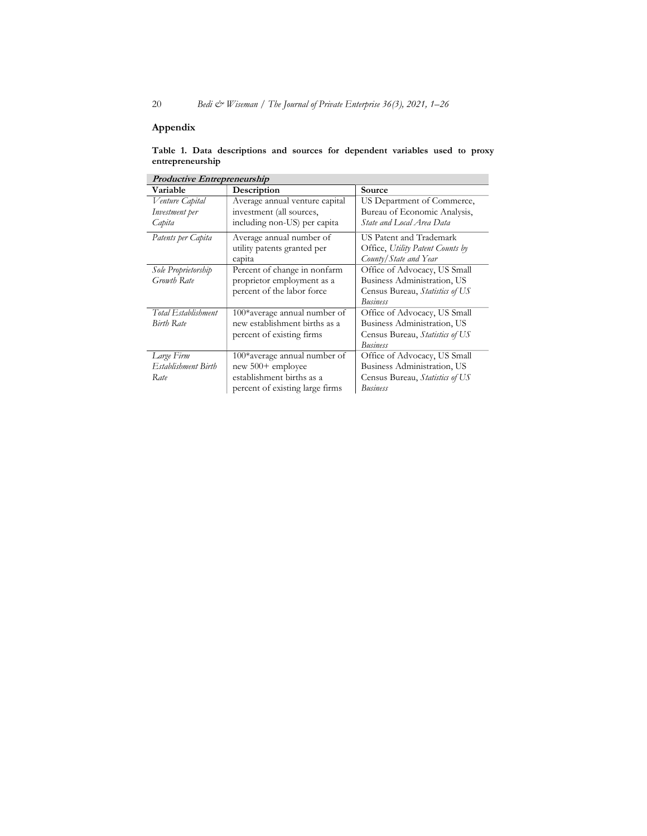# Appendix

| <b>Productive Entrepreneurship</b> |                                 |                                  |  |  |  |
|------------------------------------|---------------------------------|----------------------------------|--|--|--|
| Variable                           | Description                     | Source                           |  |  |  |
| Venture Capital                    | Average annual venture capital  | US Department of Commerce,       |  |  |  |
| Investment per                     | investment (all sources,        | Bureau of Economic Analysis,     |  |  |  |
| Capita                             | including non-US) per capita    | State and Local Area Data        |  |  |  |
| Patents per Capita                 | Average annual number of        | US Patent and Trademark          |  |  |  |
|                                    | utility patents granted per     | Office, Utility Patent Counts by |  |  |  |
|                                    | capita                          | County/State and Year            |  |  |  |
| Sole Proprietorship                | Percent of change in nonfarm    | Office of Advocacy, US Small     |  |  |  |
| Growth Rate                        | proprietor employment as a      | Business Administration, US      |  |  |  |
|                                    | percent of the labor force      | Census Bureau, Statistics of US  |  |  |  |
|                                    |                                 | <b>Business</b>                  |  |  |  |
| Total Establishment                | 100*average annual number of    | Office of Advocacy, US Small     |  |  |  |
| <b>Birth Rate</b>                  | new establishment births as a   | Business Administration, US      |  |  |  |
|                                    | percent of existing firms       | Census Bureau, Statistics of US  |  |  |  |
|                                    |                                 | <b>Business</b>                  |  |  |  |
| Large Firm                         | 100*average annual number of    | Office of Advocacy, US Small     |  |  |  |
| Establishment Birth                | new 500+ employee               | Business Administration, US      |  |  |  |
| Rate                               | establishment births as a       | Census Bureau, Statistics of US  |  |  |  |
|                                    | percent of existing large firms | <b>Business</b>                  |  |  |  |

|                  |  | Table 1. Data descriptions and sources for dependent variables used to proxy |  |  |  |  |
|------------------|--|------------------------------------------------------------------------------|--|--|--|--|
| entrepreneurship |  |                                                                              |  |  |  |  |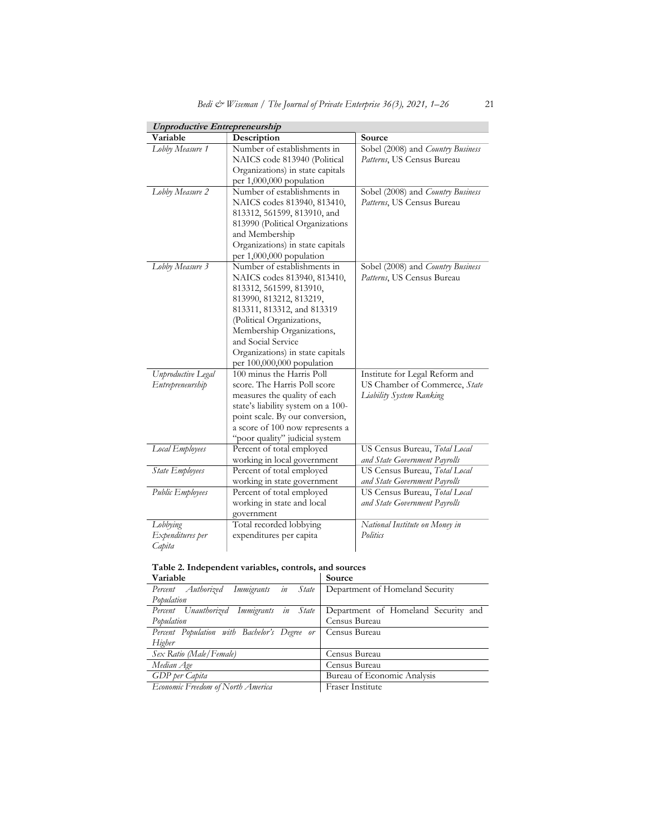| <b>Unproductive Entrepreneurship</b> |                                                                    |                                   |  |  |  |  |
|--------------------------------------|--------------------------------------------------------------------|-----------------------------------|--|--|--|--|
| Variable                             | Description                                                        | Source                            |  |  |  |  |
| Lobby Measure 1                      | Number of establishments in                                        | Sobel (2008) and Country Business |  |  |  |  |
|                                      | NAICS code 813940 (Political                                       | Patterns, US Census Bureau        |  |  |  |  |
|                                      | Organizations) in state capitals                                   |                                   |  |  |  |  |
|                                      | per 1,000,000 population                                           |                                   |  |  |  |  |
| Lobby Measure 2                      | Number of establishments in                                        | Sobel (2008) and Country Business |  |  |  |  |
|                                      | NAICS codes 813940, 813410,                                        | Patterns, US Census Bureau        |  |  |  |  |
|                                      | 813312, 561599, 813910, and                                        |                                   |  |  |  |  |
|                                      | 813990 (Political Organizations                                    |                                   |  |  |  |  |
|                                      | and Membership                                                     |                                   |  |  |  |  |
|                                      | Organizations) in state capitals                                   |                                   |  |  |  |  |
|                                      | per 1,000,000 population                                           |                                   |  |  |  |  |
| Lobby Measure 3                      | Number of establishments in                                        | Sobel (2008) and Country Business |  |  |  |  |
|                                      | NAICS codes 813940, 813410,                                        | Patterns, US Census Bureau        |  |  |  |  |
|                                      | 813312, 561599, 813910,                                            |                                   |  |  |  |  |
|                                      | 813990, 813212, 813219,                                            |                                   |  |  |  |  |
|                                      | 813311, 813312, and 813319                                         |                                   |  |  |  |  |
|                                      | (Political Organizations,                                          |                                   |  |  |  |  |
|                                      | Membership Organizations,                                          |                                   |  |  |  |  |
|                                      | and Social Service                                                 |                                   |  |  |  |  |
|                                      | Organizations) in state capitals                                   |                                   |  |  |  |  |
|                                      | per 100,000,000 population                                         |                                   |  |  |  |  |
| Unproductive Legal                   | 100 minus the Harris Poll                                          | Institute for Legal Reform and    |  |  |  |  |
| Entrepreneurship                     | score. The Harris Poll score                                       | US Chamber of Commerce, State     |  |  |  |  |
|                                      | measures the quality of each                                       | <b>Liability System Ranking</b>   |  |  |  |  |
|                                      | state's liability system on a 100-                                 |                                   |  |  |  |  |
|                                      | point scale. By our conversion,<br>a score of 100 now represents a |                                   |  |  |  |  |
|                                      | "poor quality" judicial system                                     |                                   |  |  |  |  |
| Local Employees                      | Percent of total employed                                          | US Census Bureau, Total Local     |  |  |  |  |
|                                      | working in local government                                        | and State Government Payrolls     |  |  |  |  |
| State Employees                      | Percent of total employed                                          | US Census Bureau, Total Local     |  |  |  |  |
|                                      | working in state government                                        | and State Government Payrolls     |  |  |  |  |
| Public Employees                     | Percent of total employed                                          | US Census Bureau, Total Local     |  |  |  |  |
|                                      | working in state and local                                         | and State Government Payrolls     |  |  |  |  |
|                                      | government                                                         |                                   |  |  |  |  |
| Lobbying                             | Total recorded lobbying                                            | National Institute on Money in    |  |  |  |  |
| Expenditures per                     | expenditures per capita                                            | Politics                          |  |  |  |  |
| Capita                               |                                                                    |                                   |  |  |  |  |

| Table 2. Independent variables, controls, and sources |        |
|-------------------------------------------------------|--------|
| Variable                                              | Source |
|                                                       |        |

| v aliavic                                    |                                     |  |
|----------------------------------------------|-------------------------------------|--|
| Percent Authorized Immigrants in State       | Department of Homeland Security     |  |
| Population                                   |                                     |  |
| Percent Unauthorized Immigrants in State     | Department of Homeland Security and |  |
| Population                                   | Census Bureau                       |  |
| Percent Population with Bachelor's Degree or | Census Bureau                       |  |
| Higher                                       |                                     |  |
| Sex Ratio (Male/Female)                      | Census Bureau                       |  |
| Median Age                                   | Census Bureau                       |  |
| GDP per Capita                               | Bureau of Economic Analysis         |  |
| Economic Freedom of North America            | Fraser Institute                    |  |
|                                              |                                     |  |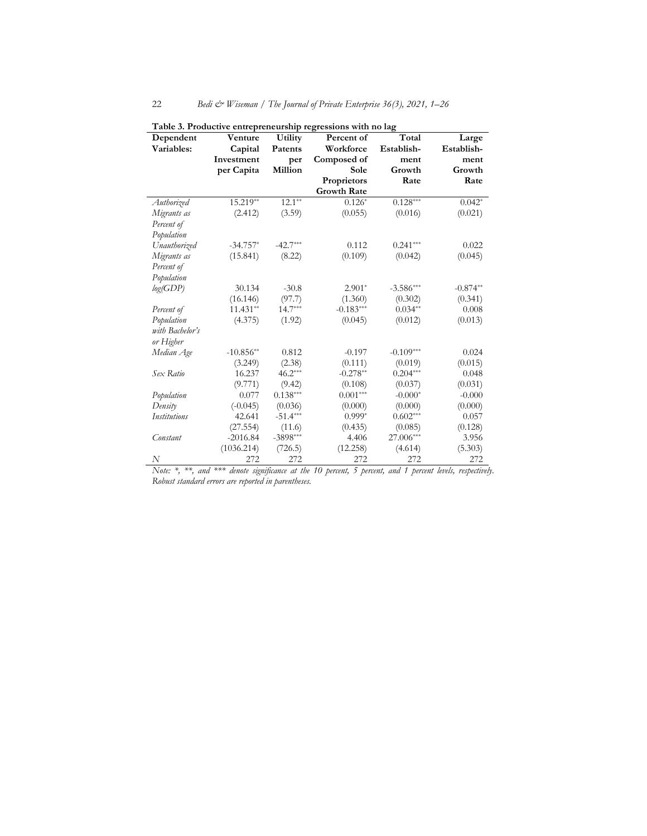| Dependent           | Venture     | Utility    | Percent of         | Total       | Large      |
|---------------------|-------------|------------|--------------------|-------------|------------|
| Variables:          | Capital     | Patents    | Workforce          | Establish-  | Establish- |
|                     | Investment  | per        | Composed of        | ment        | ment       |
|                     | per Capita  | Million    | Sole               | Growth      | Growth     |
|                     |             |            | Proprietors        | Rate        | Rate       |
|                     |             |            | <b>Growth Rate</b> |             |            |
| Authorized          | $15.219**$  | $12.1***$  | $0.126*$           | $0.128***$  | $0.042*$   |
| Migrants as         | (2.412)     | (3.59)     | (0.055)            | (0.016)     | (0.021)    |
| Percent of          |             |            |                    |             |            |
| Population          |             |            |                    |             |            |
| Unauthorized        | $-34.757*$  | $-42.7***$ | 0.112              | $0.241***$  | 0.022      |
| Migrants as         | (15.841)    | (8.22)     | (0.109)            | (0.042)     | (0.045)    |
| Percent of          |             |            |                    |             |            |
| Population          |             |            |                    |             |            |
| log(GDP)            | 30.134      | $-30.8$    | $2.901*$           | $-3.586***$ | $-0.874**$ |
|                     | (16.146)    | (97.7)     | (1.360)            | (0.302)     | (0.341)    |
| Percent of          | $11.431**$  | $14.7***$  | $-0.183***$        | $0.034**$   | 0.008      |
| Population          | (4.375)     | (1.92)     | (0.045)            | (0.012)     | (0.013)    |
| with Bachelor's     |             |            |                    |             |            |
| or Higher           |             |            |                    |             |            |
| Median Age          | $-10.856**$ | 0.812      | $-0.197$           | $-0.109***$ | 0.024      |
|                     | (3.249)     | (2.38)     | (0.111)            | (0.019)     | (0.015)    |
| Sex Ratio           | 16.237      | $46.2***$  | $-0.278**$         | $0.204***$  | 0.048      |
|                     | (9.771)     | (9.42)     | (0.108)            | (0.037)     | (0.031)    |
| Population          | 0.077       | $0.138***$ | $0.001***$         | $-0.000*$   | $-0.000$   |
| Density             | $(-0.045)$  | (0.036)    | (0.000)            | (0.000)     | (0.000)    |
| <b>Institutions</b> | 42.641      | $-51.4***$ | $0.999*$           | $0.602***$  | 0.057      |
|                     | (27.554)    | (11.6)     | (0.435)            | (0.085)     | (0.128)    |
| Constant            | $-2016.84$  | $-3898***$ | 4.406              | 27.006***   | 3.956      |
|                     | (1036.214)  | (726.5)    | (12.258)           | (4.614)     | (5.303)    |
| N                   | 272         | 272        | 272                | 272         | 272        |

Table 3. Productive entrepreneurship regressions with no lag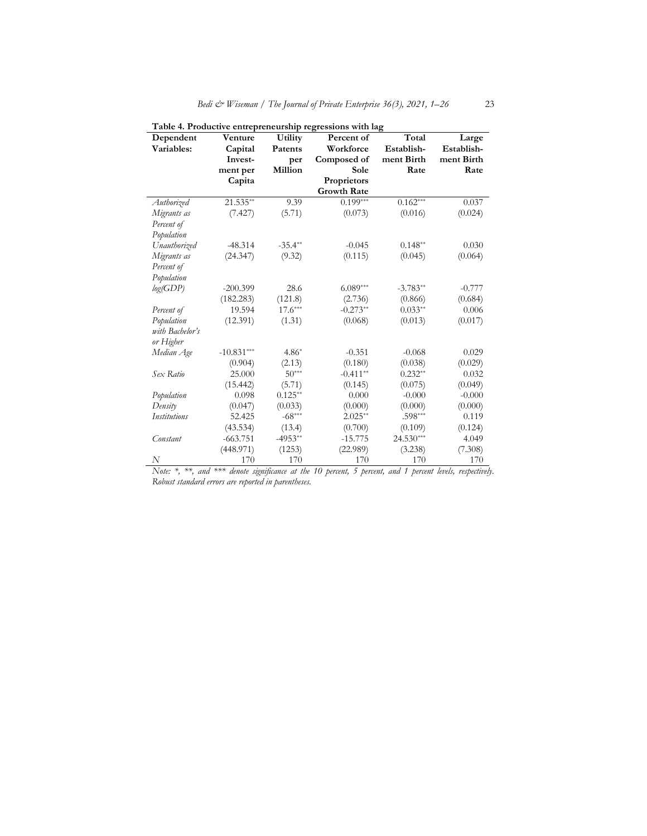| Dependent       | Venture      | Utility   | $\frac{1}{2}$<br>Percent of | Total       | Large      |
|-----------------|--------------|-----------|-----------------------------|-------------|------------|
| Variables:      | Capital      | Patents   | Workforce                   | Establish-  | Establish- |
|                 | Invest-      | per       | Composed of                 | ment Birth  | ment Birth |
|                 | ment per     | Million   | Sole                        | Rate        | Rate       |
|                 | Capita       |           | Proprietors                 |             |            |
|                 |              |           | <b>Growth Rate</b>          |             |            |
| Authorized      | 21.535**     | 9.39      | $0.199***$                  | $0.162***$  | 0.037      |
| Migrants as     | (7.427)      | (5.71)    | (0.073)                     | (0.016)     | (0.024)    |
| Percent of      |              |           |                             |             |            |
| Population      |              |           |                             |             |            |
| Unauthorized    | $-48.314$    | $-35.4**$ | $-0.045$                    | $0.148**$   | 0.030      |
| Migrants as     | (24.347)     | (9.32)    | (0.115)                     | (0.045)     | (0.064)    |
| Percent of      |              |           |                             |             |            |
| Population      |              |           |                             |             |            |
| log(GDP)        | $-200.399$   | 28.6      | $6.089***$                  | $-3.783**$  | $-0.777$   |
|                 | (182.283)    | (121.8)   | (2.736)                     | (0.866)     | (0.684)    |
| Percent of      | 19.594       | $17.6***$ | $-0.273**$                  | $0.033**$   | 0.006      |
| Population      | (12.391)     | (1.31)    | (0.068)                     | (0.013)     | (0.017)    |
| with Bachelor's |              |           |                             |             |            |
| or Higher       |              |           |                             |             |            |
| Median Age      | $-10.831***$ | $4.86*$   | $-0.351$                    | $-0.068$    | 0.029      |
|                 | (0.904)      | (2.13)    | (0.180)                     | (0.038)     | (0.029)    |
| Sex Ratio       | 25.000       | $50***$   | $-0.411**$                  | $0.232**$   | 0.032      |
|                 | (15.442)     | (5.71)    | (0.145)                     | (0.075)     | (0.049)    |
| Population      | 0.098        | $0.125**$ | 0.000                       | $-0.000$    | $-0.000$   |
| Density         | (0.047)      | (0.033)   | (0.000)                     | (0.000)     | (0.000)    |
| Institutions    | 52.425       | $-68***$  | $2.025**$                   | $.598***$   | 0.119      |
|                 | (43.534)     | (13.4)    | (0.700)                     | (0.109)     | (0.124)    |
| Constant        | $-663.751$   | $-4953**$ | $-15.775$                   | $24.530***$ | 4.049      |
|                 | (448.971)    | (1253)    | (22.989)                    | (3.238)     | (7.308)    |
| N               | 170          | 170       | 170                         | 170         | 170        |

Table 4. Productive entrepreneurship regressions with lag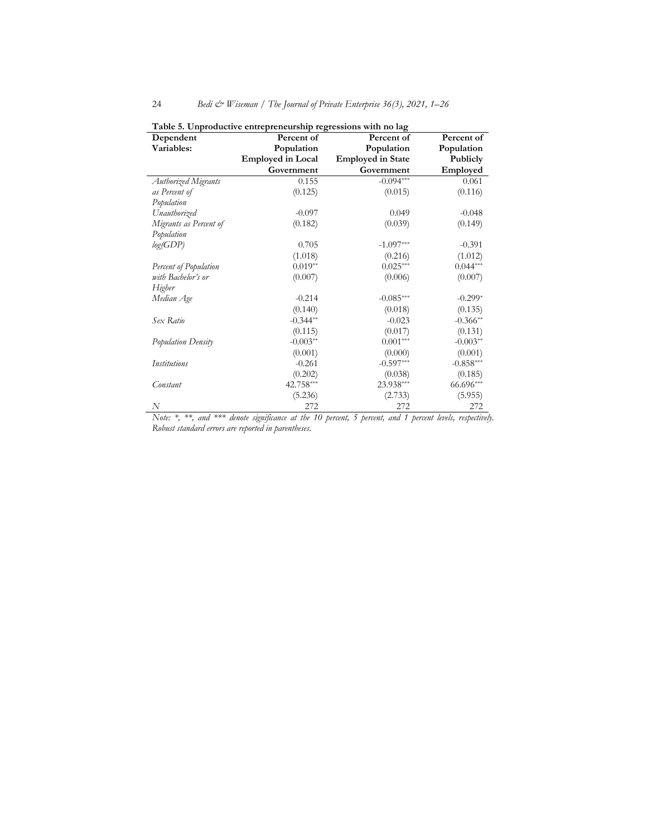| Dependent              | were or emprowable, charge-chemomep regr<br>Percent of | Percent of               | Percent of  |
|------------------------|--------------------------------------------------------|--------------------------|-------------|
| Variables:             | Population                                             | Population               | Population  |
|                        | <b>Employed in Local</b>                               | <b>Employed in State</b> | Publicly    |
|                        | Government                                             | Government               | Employed    |
| Authorized Migrants    | 0.155                                                  | $-0.094***$              | 0.061       |
| as Percent of          | (0.125)                                                | (0.015)                  | (0.116)     |
| Population             |                                                        |                          |             |
| Unauthorized           | $-0.097$                                               | 0.049                    | $-0.048$    |
| Migrants as Percent of | (0.182)                                                | (0.039)                  | (0.149)     |
| Population             |                                                        |                          |             |
| log(GDP)               | 0.705                                                  | $-1.097***$              | $-0.391$    |
|                        | (1.018)                                                | (0.216)                  | (1.012)     |
| Percent of Population  | $0.019**$                                              | $0.025***$               | $0.044***$  |
| with Bachelor's or     | (0.007)                                                | (0.006)                  | (0.007)     |
| Higher                 |                                                        |                          |             |
| Median Age             | $-0.214$                                               | $-0.085***$              | $-0.299*$   |
|                        | (0.140)                                                | (0.018)                  | (0.135)     |
| Sex Ratio              | $-0.344**$                                             | $-0.023$                 | $-0.366**$  |
|                        | (0.115)                                                | (0.017)                  | (0.131)     |
| Population Density     | $-0.003**$                                             | $0.001***$               | $-0.003**$  |
|                        | (0.001)                                                | (0.000)                  | (0.001)     |
| <b>Institutions</b>    | $-0.261$                                               | $-0.597***$              | $-0.858***$ |
|                        | (0.202)                                                | (0.038)                  | (0.185)     |
| Constant               | 42.758***                                              | 23.938***                | 66.696***   |
|                        | (5.236)                                                | (2.733)                  | (5.955)     |
| N                      | 272                                                    | 272                      | 272         |

Table 5. Unproductive entrepreneurship regressions with no lag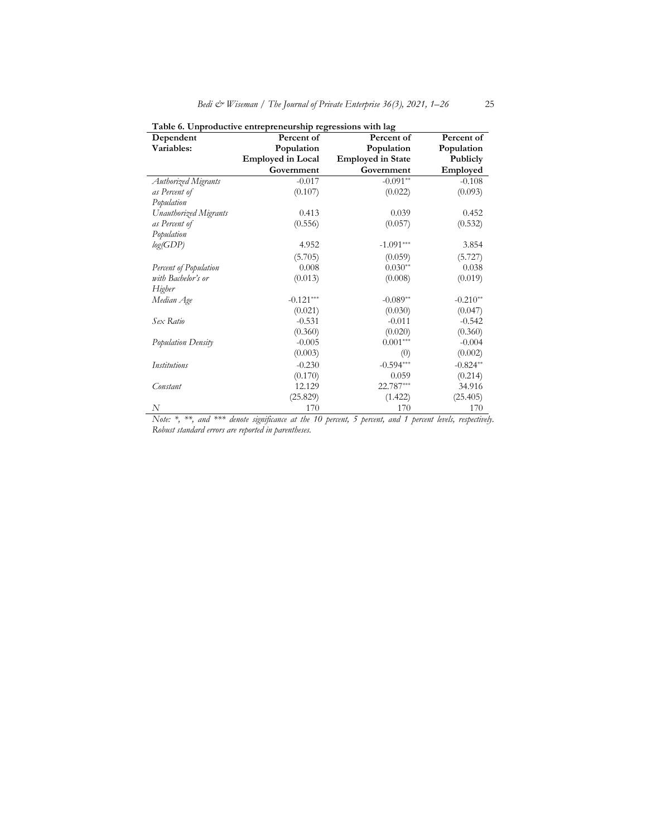| Dependent             | which is employment entrepreneurump regressions while mg<br>Percent of | Percent of               | Percent of |
|-----------------------|------------------------------------------------------------------------|--------------------------|------------|
| Variables:            | Population                                                             | Population               | Population |
|                       | <b>Employed in Local</b>                                               | <b>Employed in State</b> | Publicly   |
|                       | Government                                                             | Government               | Employed   |
| Authorized Migrants   | $-0.017$                                                               | $-0.091**$               | $-0.108$   |
| as Percent of         | (0.107)                                                                | (0.022)                  | (0.093)    |
| Population            |                                                                        |                          |            |
| Unauthorized Migrants | 0.413                                                                  | 0.039                    | 0.452      |
| as Percent of         | (0.556)                                                                | (0.057)                  | (0.532)    |
| Population            |                                                                        |                          |            |
| log(GDP)              | 4.952                                                                  | $-1.091***$              | 3.854      |
|                       | (5.705)                                                                | (0.059)                  | (5.727)    |
| Percent of Population | 0.008                                                                  | $0.030**$                | 0.038      |
| with Bachelor's or    | (0.013)                                                                | (0.008)                  | (0.019)    |
| Higher                |                                                                        |                          |            |
| Median Age            | $-0.121***$                                                            | $-0.089**$               | $-0.210**$ |
|                       | (0.021)                                                                | (0.030)                  | (0.047)    |
| Sex Ratio             | $-0.531$                                                               | $-0.011$                 | $-0.542$   |
|                       | (0.360)                                                                | (0.020)                  | (0.360)    |
| Population Density    | $-0.005$                                                               | $0.001***$               | $-0.004$   |
|                       | (0.003)                                                                | (0)                      | (0.002)    |
| <b>Institutions</b>   | $-0.230$                                                               | $-0.594***$              | $-0.824**$ |
|                       | (0.170)                                                                | 0.059                    | (0.214)    |
| Constant              | 12.129                                                                 | 22.787***                | 34.916     |
|                       | (25.829)                                                               | (1.422)                  | (25.405)   |
| N                     | 170                                                                    | 170                      | 170        |

Table 6. Unproductive entrepreneurship regressions with lag